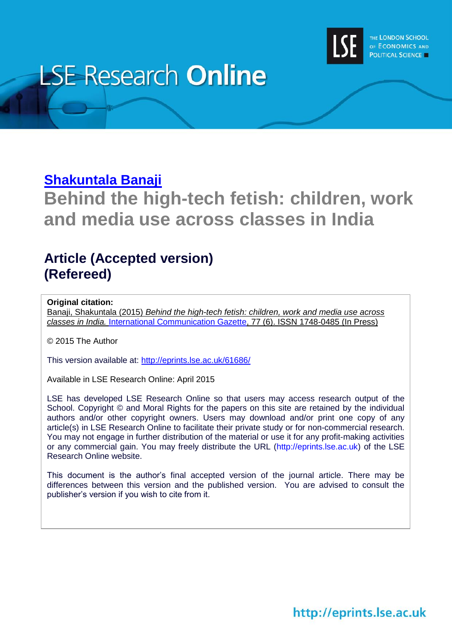

# **LSE Research Online**

## **[Shakuntala Banaji](http://www.lse.ac.uk/researchAndExpertise/Experts/profile.aspx?KeyValue=s.banaji@lse.ac.uk)**

**Behind the high-tech fetish: children, work and media use across classes in India**

# **Article (Accepted version) (Refereed)**

## **Original citation:**

Banaji, Shakuntala (2015) *Behind the high-tech fetish: children, work and media use across classes in India.* [International Communication Gazette,](http://gaz.sagepub.com/) 77 (6). ISSN 1748-0485 (In Press)

© 2015 The Author

This version available at:<http://eprints.lse.ac.uk/61686/>

Available in LSE Research Online: April 2015

LSE has developed LSE Research Online so that users may access research output of the School. Copyright © and Moral Rights for the papers on this site are retained by the individual authors and/or other copyright owners. Users may download and/or print one copy of any article(s) in LSE Research Online to facilitate their private study or for non-commercial research. You may not engage in further distribution of the material or use it for any profit-making activities or any commercial gain. You may freely distribute the URL (http://eprints.lse.ac.uk) of the LSE Research Online website.

This document is the author's final accepted version of the journal article. There may be differences between this version and the published version. You are advised to consult the publisher's version if you wish to cite from it.

http://eprints.lse.ac.uk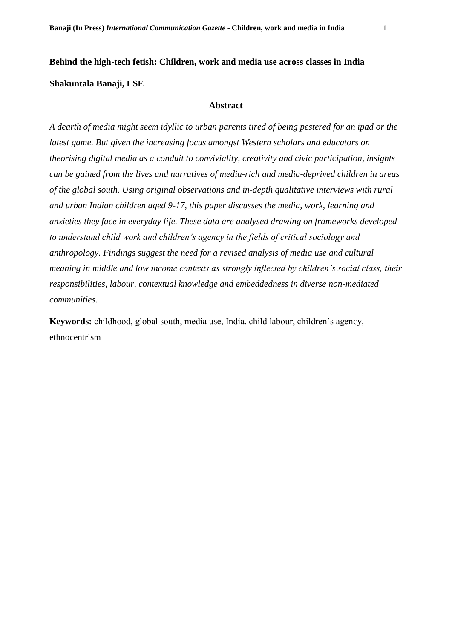## **Behind the high-tech fetish: Children, work and media use across classes in India Shakuntala Banaji, LSE**

#### **Abstract**

*A dearth of media might seem idyllic to urban parents tired of being pestered for an ipad or the latest game. But given the increasing focus amongst Western scholars and educators on theorising digital media as a conduit to conviviality, creativity and civic participation, insights can be gained from the lives and narratives of media-rich and media-deprived children in areas of the global south. Using original observations and in-depth qualitative interviews with rural and urban Indian children aged 9-17, this paper discusses the media, work, learning and anxieties they face in everyday life. These data are analysed drawing on frameworks developed to understand child work and children's agency in the fields of critical sociology and anthropology. Findings suggest the need for a revised analysis of media use and cultural meaning in middle and low income contexts as strongly inflected by children's social class, their responsibilities, labour, contextual knowledge and embeddedness in diverse non-mediated communities.*

**Keywords:** childhood, global south, media use, India, child labour, children's agency, ethnocentrism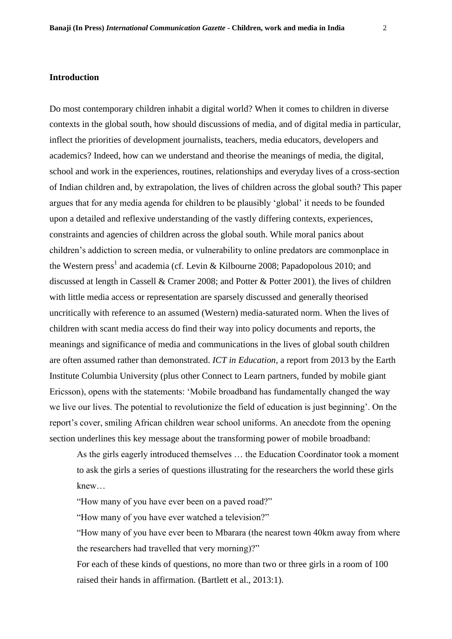#### **Introduction**

Do most contemporary children inhabit a digital world? When it comes to children in diverse contexts in the global south, how should discussions of media, and of digital media in particular, inflect the priorities of development journalists, teachers, media educators, developers and academics? Indeed, how can we understand and theorise the meanings of media, the digital, school and work in the experiences, routines, relationships and everyday lives of a cross-section of Indian children and, by extrapolation, the lives of children across the global south? This paper argues that for any media agenda for children to be plausibly 'global' it needs to be founded upon a detailed and reflexive understanding of the vastly differing contexts, experiences, constraints and agencies of children across the global south. While moral panics about children's addiction to screen media, or vulnerability to online predators are commonplace in the Western press<sup>1</sup> and academia (cf. Levin & Kilbourne 2008; Papadopolous 2010; and discussed at length in Cassell & Cramer 2008; and Potter & Potter 2001), the lives of children with little media access or representation are sparsely discussed and generally theorised uncritically with reference to an assumed (Western) media-saturated norm. When the lives of children with scant media access do find their way into policy documents and reports, the meanings and significance of media and communications in the lives of global south children are often assumed rather than demonstrated. *ICT in Education*, a report from 2013 by the Earth Institute Columbia University (plus other Connect to Learn partners, funded by mobile giant Ericsson), opens with the statements: 'Mobile broadband has fundamentally changed the way we live our lives. The potential to revolutionize the field of education is just beginning'. On the report's cover, smiling African children wear school uniforms. An anecdote from the opening section underlines this key message about the transforming power of mobile broadband:

As the girls eagerly introduced themselves … the Education Coordinator took a moment to ask the girls a series of questions illustrating for the researchers the world these girls knew…

"How many of you have ever been on a paved road?"

"How many of you have ever watched a television?"

"How many of you have ever been to Mbarara (the nearest town 40km away from where the researchers had travelled that very morning)?"

For each of these kinds of questions, no more than two or three girls in a room of 100 raised their hands in affirmation. (Bartlett et al., 2013:1).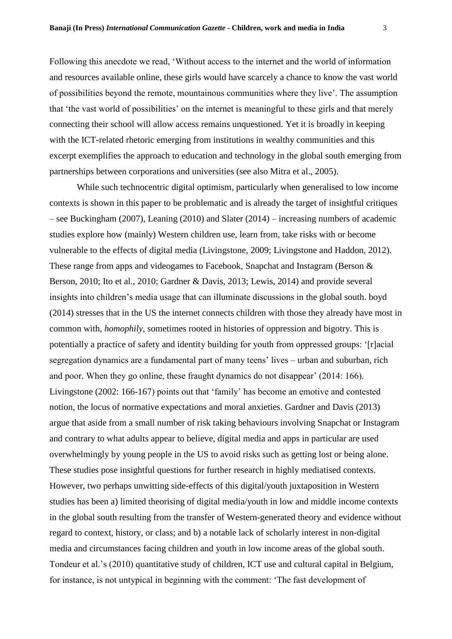Following this anecdote we read, 'Without access to the internet and the world of information and resources available online, these girls would have scarcely a chance to know the vast world of possibilities beyond the remote, mountainous communities where they live'. The assumption that 'the vast world of possibilities' on the internet is meaningful to these girls and that merely connecting their school will allow access remains unquestioned. Yet it is broadly in keeping with the ICT-related rhetoric emerging from institutions in wealthy communities and this excerpt exemplifies the approach to education and technology in the global south emerging from partnerships between corporations and universities (see also Mitra et al., 2005).

While such technocentric digital optimism, particularly when generalised to low income contexts is shown in this paper to be problematic and is already the target of insightful critiques – see Buckingham (2007), Leaning (2010) and Slater (2014) – increasing numbers of academic studies explore how (mainly) Western children use, learn from, take risks with or become vulnerable to the effects of digital media (Livingstone, 2009; Livingstone and Haddon, 2012). These range from apps and videogames to Facebook, Snapchat and Instagram (Berson & Berson, 2010; Ito et al., 2010; Gardner & Davis, 2013; Lewis, 2014) and provide several insights into children's media usage that can illuminate discussions in the global south. boyd (2014) stresses that in the US the internet connects children with those they already have most in common with, *homophily*, sometimes rooted in histories of oppression and bigotry. This is potentially a practice of safety and identity building for youth from oppressed groups: '[r]acial segregation dynamics are a fundamental part of many teens' lives – urban and suburban, rich and poor. When they go online, these fraught dynamics do not disappear' (2014: 166). Livingstone (2002: 166-167) points out that 'family' has become an emotive and contested notion, the locus of normative expectations and moral anxieties. Gardner and Davis (2013) argue that aside from a small number of risk taking behaviours involving Snapchat or Instagram and contrary to what adults appear to believe, digital media and apps in particular are used overwhelmingly by young people in the US to avoid risks such as getting lost or being alone. These studies pose insightful questions for further research in highly mediatised contexts. However, two perhaps unwitting side-effects of this digital/youth juxtaposition in Western studies has been a) limited theorising of digital media/youth in low and middle income contexts in the global south resulting from the transfer of Western-generated theory and evidence without regard to context, history, or class; and b) a notable lack of scholarly interest in non-digital media and circumstances facing children and youth in low income areas of the global south. Tondeur et al.'s (2010) quantitative study of children, ICT use and cultural capital in Belgium, for instance, is not untypical in beginning with the comment: 'The fast development of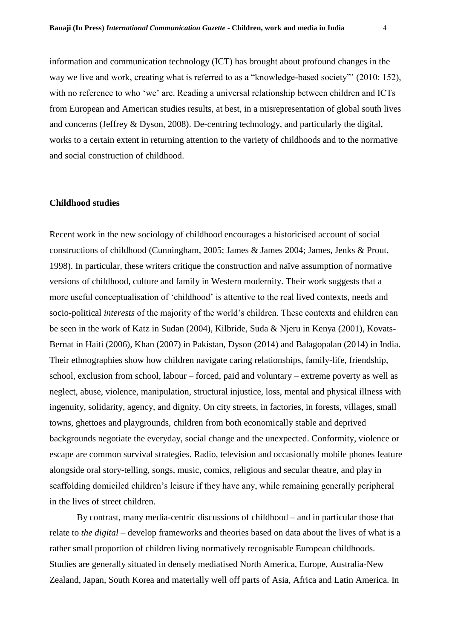information and communication technology (ICT) has brought about profound changes in the way we live and work, creating what is referred to as a "knowledge-based society"' (2010: 152), with no reference to who 'we' are. Reading a universal relationship between children and ICTs from European and American studies results, at best, in a misrepresentation of global south lives and concerns (Jeffrey & Dyson, 2008). De-centring technology, and particularly the digital, works to a certain extent in returning attention to the variety of childhoods and to the normative and social construction of childhood.

#### **Childhood studies**

Recent work in the new sociology of childhood encourages a historicised account of social constructions of childhood (Cunningham, 2005; James & James 2004; James, Jenks & Prout, 1998). In particular, these writers critique the construction and naïve assumption of normative versions of childhood, culture and family in Western modernity. Their work suggests that a more useful conceptualisation of 'childhood' is attentive to the real lived contexts, needs and socio-political *interests* of the majority of the world's children. These contexts and children can be seen in the work of Katz in Sudan (2004), Kilbride, Suda & Njeru in Kenya (2001), Kovats-Bernat in Haiti (2006), Khan (2007) in Pakistan, Dyson (2014) and Balagopalan (2014) in India. Their ethnographies show how children navigate caring relationships, family-life, friendship, school, exclusion from school, labour – forced, paid and voluntary – extreme poverty as well as neglect, abuse, violence, manipulation, structural injustice, loss, mental and physical illness with ingenuity, solidarity, agency, and dignity. On city streets, in factories, in forests, villages, small towns, ghettoes and playgrounds, children from both economically stable and deprived backgrounds negotiate the everyday, social change and the unexpected. Conformity, violence or escape are common survival strategies. Radio, television and occasionally mobile phones feature alongside oral story-telling, songs, music, comics, religious and secular theatre, and play in scaffolding domiciled children's leisure if they have any, while remaining generally peripheral in the lives of street children.

By contrast, many media-centric discussions of childhood – and in particular those that relate to *the digital* – develop frameworks and theories based on data about the lives of what is a rather small proportion of children living normatively recognisable European childhoods. Studies are generally situated in densely mediatised North America, Europe, Australia-New Zealand, Japan, South Korea and materially well off parts of Asia, Africa and Latin America. In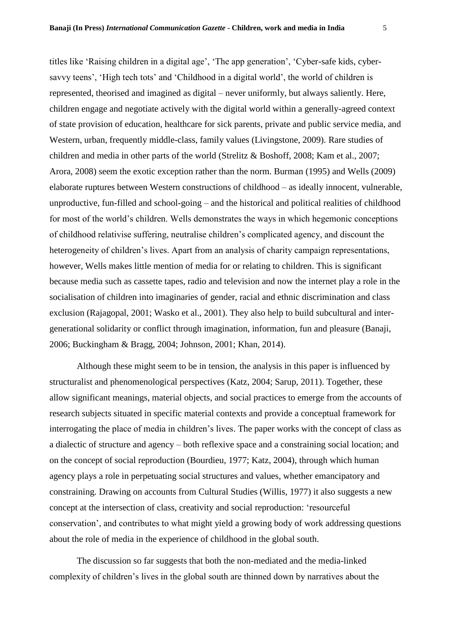titles like 'Raising children in a digital age', 'The app generation', 'Cyber-safe kids, cybersavvy teens', 'High tech tots' and 'Childhood in a digital world', the world of children is represented, theorised and imagined as digital – never uniformly, but always saliently. Here, children engage and negotiate actively with the digital world within a generally-agreed context of state provision of education, healthcare for sick parents, private and public service media, and Western, urban, frequently middle-class, family values (Livingstone, 2009). Rare studies of children and media in other parts of the world (Strelitz & Boshoff, 2008; Kam et al., 2007; Arora, 2008) seem the exotic exception rather than the norm. Burman (1995) and Wells (2009) elaborate ruptures between Western constructions of childhood – as ideally innocent, vulnerable, unproductive, fun-filled and school-going – and the historical and political realities of childhood for most of the world's children. Wells demonstrates the ways in which hegemonic conceptions of childhood relativise suffering, neutralise children's complicated agency, and discount the heterogeneity of children's lives. Apart from an analysis of charity campaign representations, however, Wells makes little mention of media for or relating to children. This is significant because media such as cassette tapes, radio and television and now the internet play a role in the socialisation of children into imaginaries of gender, racial and ethnic discrimination and class exclusion (Rajagopal, 2001; Wasko et al., 2001). They also help to build subcultural and intergenerational solidarity or conflict through imagination, information, fun and pleasure (Banaji, 2006; Buckingham & Bragg, 2004; Johnson, 2001; Khan, 2014).

Although these might seem to be in tension, the analysis in this paper is influenced by structuralist and phenomenological perspectives (Katz, 2004; Sarup, 2011). Together, these allow significant meanings, material objects, and social practices to emerge from the accounts of research subjects situated in specific material contexts and provide a conceptual framework for interrogating the place of media in children's lives. The paper works with the concept of class as a dialectic of structure and agency – both reflexive space and a constraining social location; and on the concept of social reproduction (Bourdieu, 1977; Katz, 2004), through which human agency plays a role in perpetuating social structures and values, whether emancipatory and constraining. Drawing on accounts from Cultural Studies (Willis, 1977) it also suggests a new concept at the intersection of class, creativity and social reproduction: 'resourceful conservation', and contributes to what might yield a growing body of work addressing questions about the role of media in the experience of childhood in the global south.

The discussion so far suggests that both the non-mediated and the media-linked complexity of children's lives in the global south are thinned down by narratives about the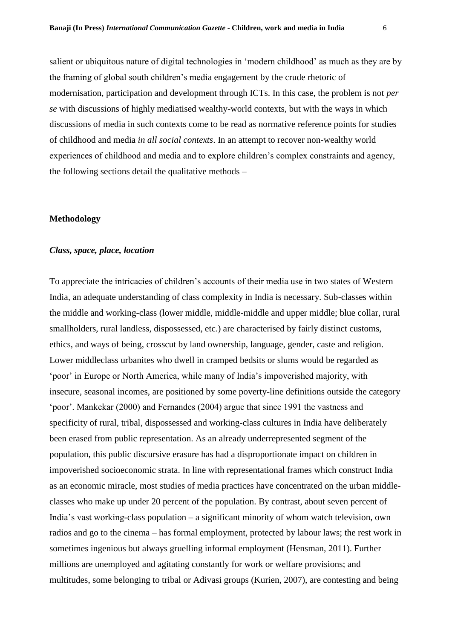salient or ubiquitous nature of digital technologies in 'modern childhood' as much as they are by the framing of global south children's media engagement by the crude rhetoric of modernisation, participation and development through ICTs. In this case, the problem is not *per se* with discussions of highly mediatised wealthy-world contexts, but with the ways in which discussions of media in such contexts come to be read as normative reference points for studies of childhood and media *in all social contexts*. In an attempt to recover non-wealthy world experiences of childhood and media and to explore children's complex constraints and agency, the following sections detail the qualitative methods –

#### **Methodology**

#### *Class, space, place, location*

To appreciate the intricacies of children's accounts of their media use in two states of Western India, an adequate understanding of class complexity in India is necessary. Sub-classes within the middle and working-class (lower middle, middle-middle and upper middle; blue collar, rural smallholders, rural landless, dispossessed, etc.) are characterised by fairly distinct customs, ethics, and ways of being, crosscut by land ownership, language, gender, caste and religion. Lower middleclass urbanites who dwell in cramped bedsits or slums would be regarded as 'poor' in Europe or North America, while many of India's impoverished majority, with insecure, seasonal incomes, are positioned by some poverty-line definitions outside the category 'poor'. Mankekar (2000) and Fernandes (2004) argue that since 1991 the vastness and specificity of rural, tribal, dispossessed and working-class cultures in India have deliberately been erased from public representation. As an already underrepresented segment of the population, this public discursive erasure has had a disproportionate impact on children in impoverished socioeconomic strata. In line with representational frames which construct India as an economic miracle, most studies of media practices have concentrated on the urban middleclasses who make up under 20 percent of the population. By contrast, about seven percent of India's vast working-class population – a significant minority of whom watch television, own radios and go to the cinema – has formal employment, protected by labour laws; the rest work in sometimes ingenious but always gruelling informal employment (Hensman, 2011). Further millions are unemployed and agitating constantly for work or welfare provisions; and multitudes, some belonging to tribal or Adivasi groups (Kurien, 2007), are contesting and being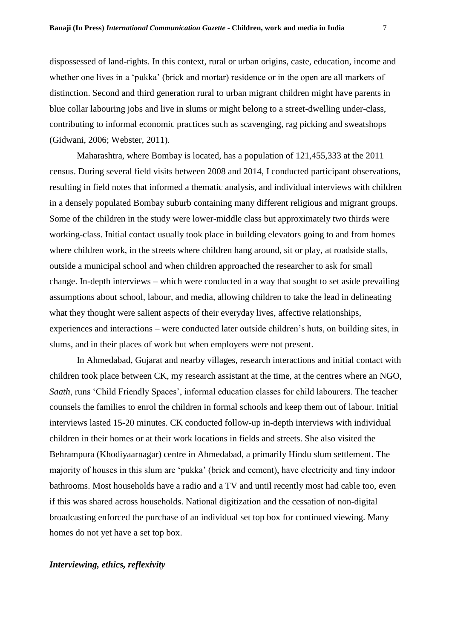dispossessed of land-rights. In this context, rural or urban origins, caste, education, income and whether one lives in a 'pukka' (brick and mortar) residence or in the open are all markers of distinction. Second and third generation rural to urban migrant children might have parents in blue collar labouring jobs and live in slums or might belong to a street-dwelling under-class, contributing to informal economic practices such as scavenging, rag picking and sweatshops (Gidwani, 2006; Webster, 2011).

Maharashtra, where Bombay is located, has a population of 121,455,333 at the 2011 census. During several field visits between 2008 and 2014, I conducted participant observations, resulting in field notes that informed a thematic analysis, and individual interviews with children in a densely populated Bombay suburb containing many different religious and migrant groups. Some of the children in the study were lower-middle class but approximately two thirds were working-class. Initial contact usually took place in building elevators going to and from homes where children work, in the streets where children hang around, sit or play, at roadside stalls, outside a municipal school and when children approached the researcher to ask for small change. In-depth interviews – which were conducted in a way that sought to set aside prevailing assumptions about school, labour, and media, allowing children to take the lead in delineating what they thought were salient aspects of their everyday lives, affective relationships, experiences and interactions – were conducted later outside children's huts, on building sites, in slums, and in their places of work but when employers were not present.

In Ahmedabad, Gujarat and nearby villages, research interactions and initial contact with children took place between CK, my research assistant at the time, at the centres where an NGO, *Saath*, runs 'Child Friendly Spaces', informal education classes for child labourers. The teacher counsels the families to enrol the children in formal schools and keep them out of labour. Initial interviews lasted 15-20 minutes. CK conducted follow-up in-depth interviews with individual children in their homes or at their work locations in fields and streets. She also visited the Behrampura (Khodiyaarnagar) centre in Ahmedabad, a primarily Hindu slum settlement. The majority of houses in this slum are 'pukka' (brick and cement), have electricity and tiny indoor bathrooms. Most households have a radio and a TV and until recently most had cable too, even if this was shared across households. National digitization and the cessation of non-digital broadcasting enforced the purchase of an individual set top box for continued viewing. Many homes do not yet have a set top box.

#### *Interviewing, ethics, reflexivity*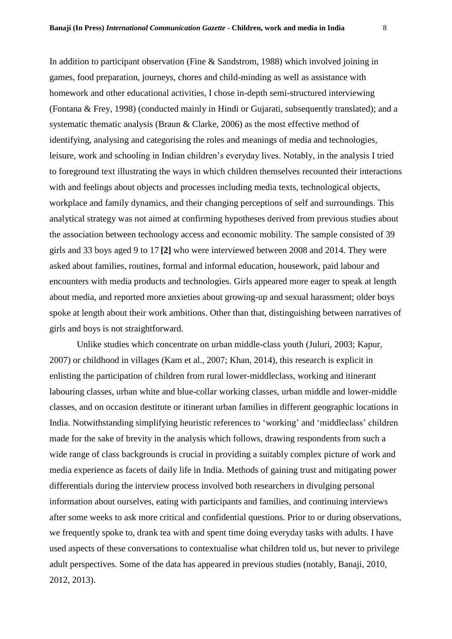In addition to participant observation (Fine & Sandstrom, 1988) which involved joining in games, food preparation, journeys, chores and child-minding as well as assistance with homework and other educational activities, I chose in-depth semi-structured interviewing (Fontana & Frey, 1998) (conducted mainly in Hindi or Gujarati, subsequently translated); and a systematic thematic analysis (Braun & Clarke, 2006) as the most effective method of identifying, analysing and categorising the roles and meanings of media and technologies, leisure, work and schooling in Indian children's everyday lives. Notably, in the analysis I tried to foreground text illustrating the ways in which children themselves recounted their interactions with and feelings about objects and processes including media texts, technological objects, workplace and family dynamics, and their changing perceptions of self and surroundings. This analytical strategy was not aimed at confirming hypotheses derived from previous studies about the association between technology access and economic mobility. The sample consisted of 39 girls and 33 boys aged 9 to 17 **[2]** who were interviewed between 2008 and 2014. They were asked about families, routines, formal and informal education, housework, paid labour and encounters with media products and technologies. Girls appeared more eager to speak at length about media, and reported more anxieties about growing-up and sexual harassment; older boys spoke at length about their work ambitions. Other than that, distinguishing between narratives of girls and boys is not straightforward.

Unlike studies which concentrate on urban middle-class youth (Juluri, 2003; Kapur, 2007) or childhood in villages (Kam et al., 2007; Khan, 2014), this research is explicit in enlisting the participation of children from rural lower-middleclass, working and itinerant labouring classes, urban white and blue-collar working classes, urban middle and lower-middle classes, and on occasion destitute or itinerant urban families in different geographic locations in India. Notwithstanding simplifying heuristic references to 'working' and 'middleclass' children made for the sake of brevity in the analysis which follows, drawing respondents from such a wide range of class backgrounds is crucial in providing a suitably complex picture of work and media experience as facets of daily life in India. Methods of gaining trust and mitigating power differentials during the interview process involved both researchers in divulging personal information about ourselves, eating with participants and families, and continuing interviews after some weeks to ask more critical and confidential questions. Prior to or during observations, we frequently spoke to, drank tea with and spent time doing everyday tasks with adults. I have used aspects of these conversations to contextualise what children told us, but never to privilege adult perspectives. Some of the data has appeared in previous studies (notably, Banaji, 2010, 2012, 2013).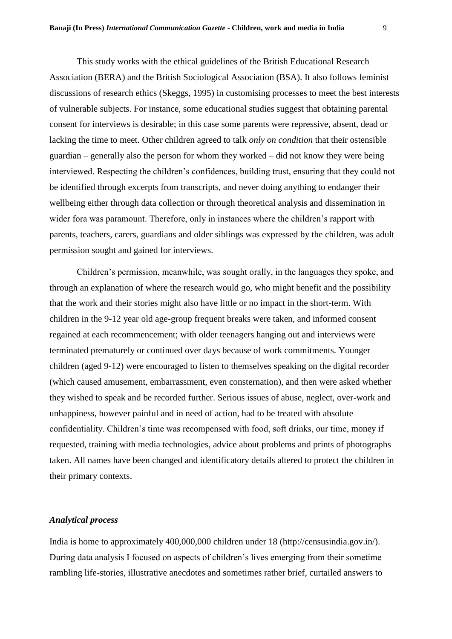This study works with the ethical guidelines of the British Educational Research Association (BERA) and the British Sociological Association (BSA). It also follows feminist discussions of research ethics (Skeggs, 1995) in customising processes to meet the best interests of vulnerable subjects. For instance, some educational studies suggest that obtaining parental consent for interviews is desirable; in this case some parents were repressive, absent, dead or lacking the time to meet. Other children agreed to talk *only on condition* that their ostensible guardian – generally also the person for whom they worked – did not know they were being interviewed. Respecting the children's confidences, building trust, ensuring that they could not be identified through excerpts from transcripts, and never doing anything to endanger their wellbeing either through data collection or through theoretical analysis and dissemination in wider fora was paramount. Therefore, only in instances where the children's rapport with parents, teachers, carers, guardians and older siblings was expressed by the children, was adult permission sought and gained for interviews.

Children's permission, meanwhile, was sought orally, in the languages they spoke, and through an explanation of where the research would go, who might benefit and the possibility that the work and their stories might also have little or no impact in the short-term. With children in the 9-12 year old age-group frequent breaks were taken, and informed consent regained at each recommencement; with older teenagers hanging out and interviews were terminated prematurely or continued over days because of work commitments. Younger children (aged 9-12) were encouraged to listen to themselves speaking on the digital recorder (which caused amusement, embarrassment, even consternation), and then were asked whether they wished to speak and be recorded further. Serious issues of abuse, neglect, over-work and unhappiness, however painful and in need of action, had to be treated with absolute confidentiality. Children's time was recompensed with food, soft drinks, our time, money if requested, training with media technologies, advice about problems and prints of photographs taken. All names have been changed and identificatory details altered to protect the children in their primary contexts.

#### *Analytical process*

India is home to approximately 400,000,000 children under 18 (http://censusindia.gov.in/). During data analysis I focused on aspects of children's lives emerging from their sometime rambling life-stories, illustrative anecdotes and sometimes rather brief, curtailed answers to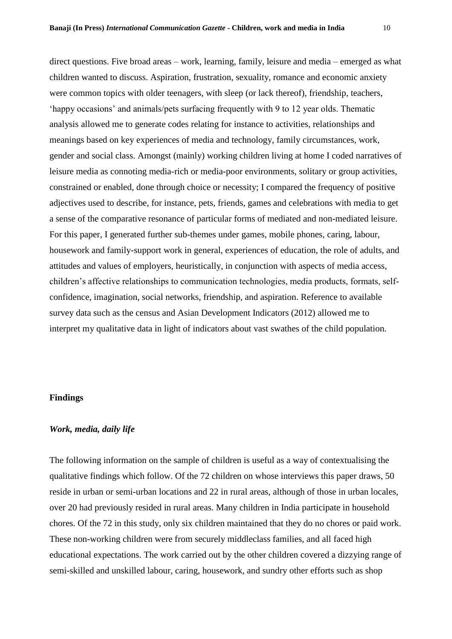direct questions. Five broad areas – work, learning, family, leisure and media – emerged as what children wanted to discuss. Aspiration, frustration, sexuality, romance and economic anxiety were common topics with older teenagers, with sleep (or lack thereof), friendship, teachers, 'happy occasions' and animals/pets surfacing frequently with 9 to 12 year olds. Thematic analysis allowed me to generate codes relating for instance to activities, relationships and meanings based on key experiences of media and technology, family circumstances, work, gender and social class. Amongst (mainly) working children living at home I coded narratives of leisure media as connoting media-rich or media-poor environments, solitary or group activities, constrained or enabled, done through choice or necessity; I compared the frequency of positive adjectives used to describe, for instance, pets, friends, games and celebrations with media to get a sense of the comparative resonance of particular forms of mediated and non-mediated leisure. For this paper, I generated further sub-themes under games, mobile phones, caring, labour, housework and family-support work in general, experiences of education, the role of adults, and attitudes and values of employers, heuristically, in conjunction with aspects of media access, children's affective relationships to communication technologies, media products, formats, selfconfidence, imagination, social networks, friendship, and aspiration. Reference to available survey data such as the census and Asian Development Indicators (2012) allowed me to interpret my qualitative data in light of indicators about vast swathes of the child population.

#### **Findings**

#### *Work, media, daily life*

The following information on the sample of children is useful as a way of contextualising the qualitative findings which follow. Of the 72 children on whose interviews this paper draws, 50 reside in urban or semi-urban locations and 22 in rural areas, although of those in urban locales, over 20 had previously resided in rural areas. Many children in India participate in household chores. Of the 72 in this study, only six children maintained that they do no chores or paid work. These non-working children were from securely middleclass families, and all faced high educational expectations. The work carried out by the other children covered a dizzying range of semi-skilled and unskilled labour, caring, housework, and sundry other efforts such as shop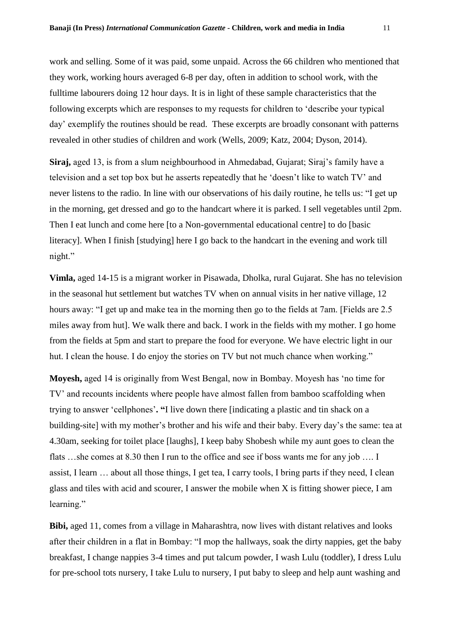work and selling. Some of it was paid, some unpaid. Across the 66 children who mentioned that they work, working hours averaged 6-8 per day, often in addition to school work, with the fulltime labourers doing 12 hour days. It is in light of these sample characteristics that the following excerpts which are responses to my requests for children to 'describe your typical day' exemplify the routines should be read. These excerpts are broadly consonant with patterns revealed in other studies of children and work (Wells, 2009; Katz, 2004; Dyson, 2014).

**Siraj,** aged 13, is from a slum neighbourhood in Ahmedabad, Gujarat; Siraj's family have a television and a set top box but he asserts repeatedly that he 'doesn't like to watch TV' and never listens to the radio. In line with our observations of his daily routine, he tells us: "I get up in the morning, get dressed and go to the handcart where it is parked. I sell vegetables until 2pm. Then I eat lunch and come here [to a Non-governmental educational centre] to do [basic literacy]. When I finish [studying] here I go back to the handcart in the evening and work till night."

**Vimla,** aged 14-15 is a migrant worker in Pisawada, Dholka, rural Gujarat. She has no television in the seasonal hut settlement but watches TV when on annual visits in her native village, 12 hours away: "I get up and make tea in the morning then go to the fields at 7am. [Fields are 2.5 miles away from hut]. We walk there and back. I work in the fields with my mother. I go home from the fields at 5pm and start to prepare the food for everyone. We have electric light in our hut. I clean the house. I do enjoy the stories on TV but not much chance when working."

**Moyesh,** aged 14 is originally from West Bengal, now in Bombay. Moyesh has 'no time for TV' and recounts incidents where people have almost fallen from bamboo scaffolding when trying to answer 'cellphones'**. "**I live down there [indicating a plastic and tin shack on a building-site] with my mother's brother and his wife and their baby. Every day's the same: tea at 4.30am, seeking for toilet place [laughs], I keep baby Shobesh while my aunt goes to clean the flats …she comes at 8.30 then I run to the office and see if boss wants me for any job …. I assist, I learn … about all those things, I get tea, I carry tools, I bring parts if they need, I clean glass and tiles with acid and scourer, I answer the mobile when X is fitting shower piece, I am learning."

**Bibi,** aged 11, comes from a village in Maharashtra, now lives with distant relatives and looks after their children in a flat in Bombay: "I mop the hallways, soak the dirty nappies, get the baby breakfast, I change nappies 3-4 times and put talcum powder, I wash Lulu (toddler), I dress Lulu for pre-school tots nursery, I take Lulu to nursery, I put baby to sleep and help aunt washing and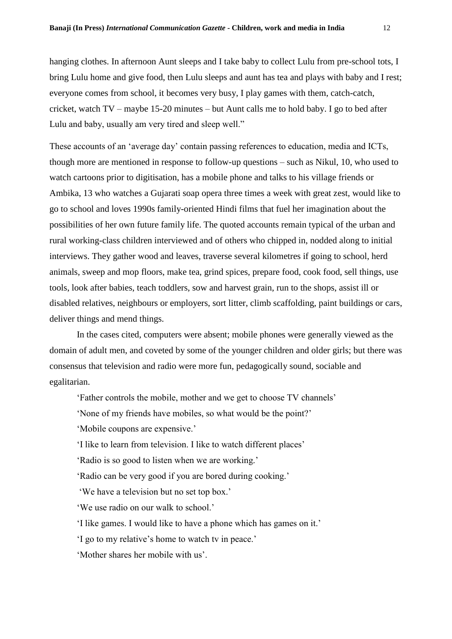hanging clothes. In afternoon Aunt sleeps and I take baby to collect Lulu from pre-school tots, I bring Lulu home and give food, then Lulu sleeps and aunt has tea and plays with baby and I rest; everyone comes from school, it becomes very busy, I play games with them, catch-catch, cricket, watch TV – maybe 15-20 minutes – but Aunt calls me to hold baby. I go to bed after Lulu and baby, usually am very tired and sleep well."

These accounts of an 'average day' contain passing references to education, media and ICTs, though more are mentioned in response to follow-up questions – such as Nikul, 10, who used to watch cartoons prior to digitisation, has a mobile phone and talks to his village friends or Ambika, 13 who watches a Gujarati soap opera three times a week with great zest, would like to go to school and loves 1990s family-oriented Hindi films that fuel her imagination about the possibilities of her own future family life. The quoted accounts remain typical of the urban and rural working-class children interviewed and of others who chipped in, nodded along to initial interviews. They gather wood and leaves, traverse several kilometres if going to school, herd animals, sweep and mop floors, make tea, grind spices, prepare food, cook food, sell things, use tools, look after babies, teach toddlers, sow and harvest grain, run to the shops, assist ill or disabled relatives, neighbours or employers, sort litter, climb scaffolding, paint buildings or cars, deliver things and mend things.

In the cases cited, computers were absent; mobile phones were generally viewed as the domain of adult men, and coveted by some of the younger children and older girls; but there was consensus that television and radio were more fun, pedagogically sound, sociable and egalitarian.

'Father controls the mobile, mother and we get to choose TV channels'

'None of my friends have mobiles, so what would be the point?'

'Mobile coupons are expensive.'

'I like to learn from television. I like to watch different places'

'Radio is so good to listen when we are working.'

'Radio can be very good if you are bored during cooking.'

'We have a television but no set top box.'

'We use radio on our walk to school.'

'I like games. I would like to have a phone which has games on it.'

'I go to my relative's home to watch tv in peace.'

'Mother shares her mobile with us'.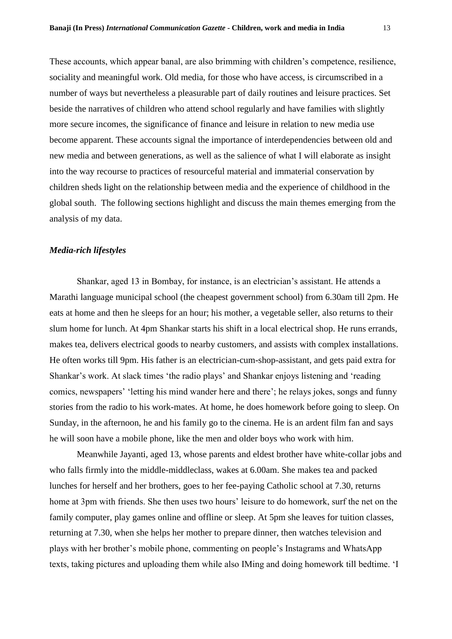These accounts, which appear banal, are also brimming with children's competence, resilience, sociality and meaningful work. Old media, for those who have access, is circumscribed in a number of ways but nevertheless a pleasurable part of daily routines and leisure practices. Set beside the narratives of children who attend school regularly and have families with slightly more secure incomes, the significance of finance and leisure in relation to new media use become apparent. These accounts signal the importance of interdependencies between old and new media and between generations, as well as the salience of what I will elaborate as insight into the way recourse to practices of resourceful material and immaterial conservation by children sheds light on the relationship between media and the experience of childhood in the global south. The following sections highlight and discuss the main themes emerging from the analysis of my data.

#### *Media-rich lifestyles*

Shankar, aged 13 in Bombay, for instance, is an electrician's assistant. He attends a Marathi language municipal school (the cheapest government school) from 6.30am till 2pm. He eats at home and then he sleeps for an hour; his mother, a vegetable seller, also returns to their slum home for lunch. At 4pm Shankar starts his shift in a local electrical shop. He runs errands, makes tea, delivers electrical goods to nearby customers, and assists with complex installations. He often works till 9pm. His father is an electrician-cum-shop-assistant, and gets paid extra for Shankar's work. At slack times 'the radio plays' and Shankar enjoys listening and 'reading comics, newspapers' 'letting his mind wander here and there'; he relays jokes, songs and funny stories from the radio to his work-mates. At home, he does homework before going to sleep. On Sunday, in the afternoon, he and his family go to the cinema. He is an ardent film fan and says he will soon have a mobile phone, like the men and older boys who work with him.

Meanwhile Jayanti, aged 13, whose parents and eldest brother have white-collar jobs and who falls firmly into the middle-middleclass, wakes at 6.00am. She makes tea and packed lunches for herself and her brothers, goes to her fee-paying Catholic school at 7.30, returns home at 3pm with friends. She then uses two hours' leisure to do homework, surf the net on the family computer, play games online and offline or sleep. At 5pm she leaves for tuition classes, returning at 7.30, when she helps her mother to prepare dinner, then watches television and plays with her brother's mobile phone, commenting on people's Instagrams and WhatsApp texts, taking pictures and uploading them while also IMing and doing homework till bedtime. 'I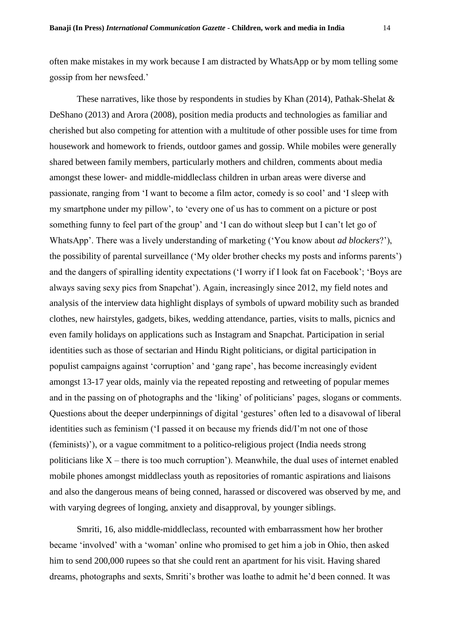often make mistakes in my work because I am distracted by WhatsApp or by mom telling some gossip from her newsfeed.'

These narratives, like those by respondents in studies by Khan (2014), Pathak-Shelat  $\&$ DeShano (2013) and Arora (2008), position media products and technologies as familiar and cherished but also competing for attention with a multitude of other possible uses for time from housework and homework to friends, outdoor games and gossip. While mobiles were generally shared between family members, particularly mothers and children, comments about media amongst these lower- and middle-middleclass children in urban areas were diverse and passionate, ranging from 'I want to become a film actor, comedy is so cool' and 'I sleep with my smartphone under my pillow', to 'every one of us has to comment on a picture or post something funny to feel part of the group' and 'I can do without sleep but I can't let go of WhatsApp'. There was a lively understanding of marketing ('You know about *ad blockers*?'), the possibility of parental surveillance ('My older brother checks my posts and informs parents') and the dangers of spiralling identity expectations ('I worry if I look fat on Facebook'; 'Boys are always saving sexy pics from Snapchat'). Again, increasingly since 2012, my field notes and analysis of the interview data highlight displays of symbols of upward mobility such as branded clothes, new hairstyles, gadgets, bikes, wedding attendance, parties, visits to malls, picnics and even family holidays on applications such as Instagram and Snapchat. Participation in serial identities such as those of sectarian and Hindu Right politicians, or digital participation in populist campaigns against 'corruption' and 'gang rape', has become increasingly evident amongst 13-17 year olds, mainly via the repeated reposting and retweeting of popular memes and in the passing on of photographs and the 'liking' of politicians' pages, slogans or comments. Questions about the deeper underpinnings of digital 'gestures' often led to a disavowal of liberal identities such as feminism ('I passed it on because my friends did/I'm not one of those (feminists)'), or a vague commitment to a politico-religious project (India needs strong politicians like  $X$  – there is too much corruption'). Meanwhile, the dual uses of internet enabled mobile phones amongst middleclass youth as repositories of romantic aspirations and liaisons and also the dangerous means of being conned, harassed or discovered was observed by me, and with varying degrees of longing, anxiety and disapproval, by younger siblings.

Smriti, 16, also middle-middleclass, recounted with embarrassment how her brother became 'involved' with a 'woman' online who promised to get him a job in Ohio, then asked him to send 200,000 rupees so that she could rent an apartment for his visit. Having shared dreams, photographs and sexts, Smriti's brother was loathe to admit he'd been conned. It was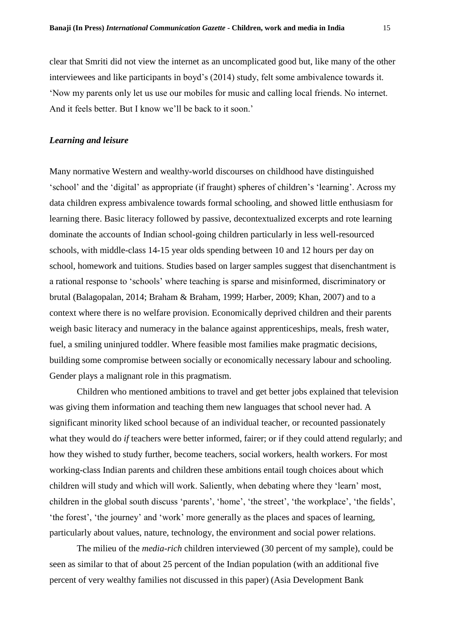clear that Smriti did not view the internet as an uncomplicated good but, like many of the other interviewees and like participants in boyd's (2014) study, felt some ambivalence towards it. 'Now my parents only let us use our mobiles for music and calling local friends. No internet. And it feels better. But I know we'll be back to it soon.'

#### *Learning and leisure*

Many normative Western and wealthy-world discourses on childhood have distinguished 'school' and the 'digital' as appropriate (if fraught) spheres of children's 'learning'. Across my data children express ambivalence towards formal schooling, and showed little enthusiasm for learning there. Basic literacy followed by passive, decontextualized excerpts and rote learning dominate the accounts of Indian school-going children particularly in less well-resourced schools, with middle-class 14-15 year olds spending between 10 and 12 hours per day on school, homework and tuitions. Studies based on larger samples suggest that disenchantment is a rational response to 'schools' where teaching is sparse and misinformed, discriminatory or brutal (Balagopalan, 2014; Braham & Braham, 1999; Harber, 2009; Khan, 2007) and to a context where there is no welfare provision. Economically deprived children and their parents weigh basic literacy and numeracy in the balance against apprenticeships, meals, fresh water, fuel, a smiling uninjured toddler. Where feasible most families make pragmatic decisions, building some compromise between socially or economically necessary labour and schooling. Gender plays a malignant role in this pragmatism.

Children who mentioned ambitions to travel and get better jobs explained that television was giving them information and teaching them new languages that school never had. A significant minority liked school because of an individual teacher, or recounted passionately what they would do *if* teachers were better informed, fairer; or if they could attend regularly; and how they wished to study further, become teachers, social workers, health workers. For most working-class Indian parents and children these ambitions entail tough choices about which children will study and which will work. Saliently, when debating where they 'learn' most, children in the global south discuss 'parents', 'home', 'the street', 'the workplace', 'the fields', 'the forest', 'the journey' and 'work' more generally as the places and spaces of learning, particularly about values, nature, technology, the environment and social power relations.

The milieu of the *media-rich* children interviewed (30 percent of my sample), could be seen as similar to that of about 25 percent of the Indian population (with an additional five percent of very wealthy families not discussed in this paper) (Asia Development Bank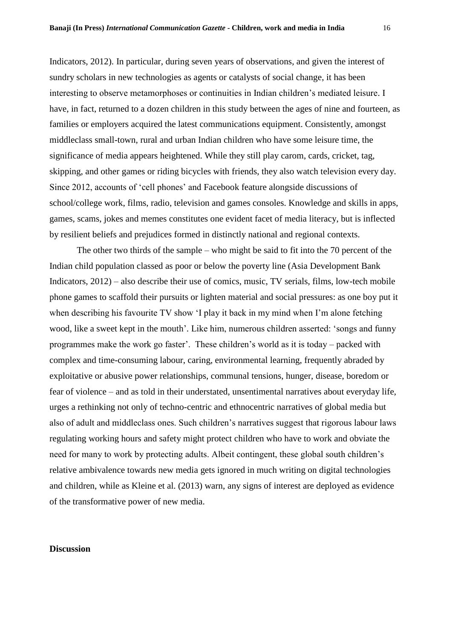Indicators, 2012). In particular, during seven years of observations, and given the interest of sundry scholars in new technologies as agents or catalysts of social change, it has been interesting to observe metamorphoses or continuities in Indian children's mediated leisure. I have, in fact, returned to a dozen children in this study between the ages of nine and fourteen, as families or employers acquired the latest communications equipment. Consistently, amongst middleclass small-town, rural and urban Indian children who have some leisure time, the significance of media appears heightened. While they still play carom, cards, cricket, tag, skipping, and other games or riding bicycles with friends, they also watch television every day. Since 2012, accounts of 'cell phones' and Facebook feature alongside discussions of school/college work, films, radio, television and games consoles. Knowledge and skills in apps, games, scams, jokes and memes constitutes one evident facet of media literacy, but is inflected by resilient beliefs and prejudices formed in distinctly national and regional contexts.

The other two thirds of the sample – who might be said to fit into the 70 percent of the Indian child population classed as poor or below the poverty line (Asia Development Bank Indicators, 2012) – also describe their use of comics, music, TV serials, films, low-tech mobile phone games to scaffold their pursuits or lighten material and social pressures: as one boy put it when describing his favourite TV show 'I play it back in my mind when I'm alone fetching wood, like a sweet kept in the mouth'. Like him, numerous children asserted: 'songs and funny programmes make the work go faster'. These children's world as it is today – packed with complex and time-consuming labour, caring, environmental learning, frequently abraded by exploitative or abusive power relationships, communal tensions, hunger, disease, boredom or fear of violence – and as told in their understated, unsentimental narratives about everyday life, urges a rethinking not only of techno-centric and ethnocentric narratives of global media but also of adult and middleclass ones. Such children's narratives suggest that rigorous labour laws regulating working hours and safety might protect children who have to work and obviate the need for many to work by protecting adults. Albeit contingent, these global south children's relative ambivalence towards new media gets ignored in much writing on digital technologies and children, while as Kleine et al. (2013) warn, any signs of interest are deployed as evidence of the transformative power of new media.

#### **Discussion**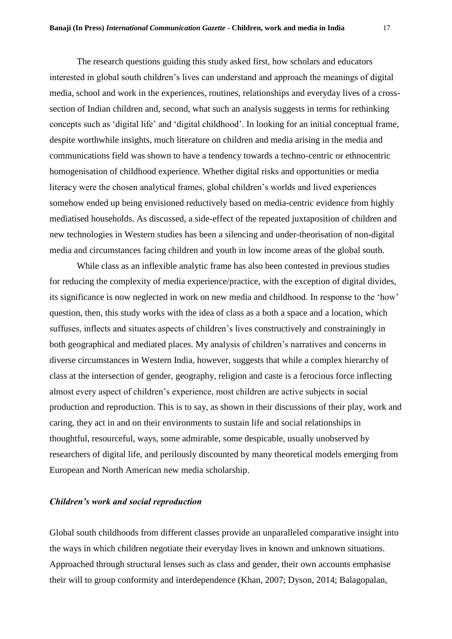The research questions guiding this study asked first, how scholars and educators interested in global south children's lives can understand and approach the meanings of digital media, school and work in the experiences, routines, relationships and everyday lives of a crosssection of Indian children and, second, what such an analysis suggests in terms for rethinking concepts such as 'digital life' and 'digital childhood'. In looking for an initial conceptual frame, despite worthwhile insights, much literature on children and media arising in the media and communications field was shown to have a tendency towards a techno-centric or ethnocentric homogenisation of childhood experience. Whether digital risks and opportunities or media literacy were the chosen analytical frames, global children's worlds and lived experiences somehow ended up being envisioned reductively based on media-centric evidence from highly mediatised households. As discussed, a side-effect of the repeated juxtaposition of children and new technologies in Western studies has been a silencing and under-theorisation of non-digital media and circumstances facing children and youth in low income areas of the global south.

While class as an inflexible analytic frame has also been contested in previous studies for reducing the complexity of media experience/practice, with the exception of digital divides, its significance is now neglected in work on new media and childhood. In response to the 'how' question, then, this study works with the idea of class as a both a space and a location, which suffuses, inflects and situates aspects of children's lives constructively and constrainingly in both geographical and mediated places. My analysis of children's narratives and concerns in diverse circumstances in Western India, however, suggests that while a complex hierarchy of class at the intersection of gender, geography, religion and caste is a ferocious force inflecting almost every aspect of children's experience, most children are active subjects in social production and reproduction. This is to say, as shown in their discussions of their play, work and caring, they act in and on their environments to sustain life and social relationships in thoughtful, resourceful, ways, some admirable, some despicable, usually unobserved by researchers of digital life, and perilously discounted by many theoretical models emerging from European and North American new media scholarship.

#### *Children's work and social reproduction*

Global south childhoods from different classes provide an unparalleled comparative insight into the ways in which children negotiate their everyday lives in known and unknown situations. Approached through structural lenses such as class and gender, their own accounts emphasise their will to group conformity and interdependence (Khan, 2007; Dyson, 2014; Balagopalan,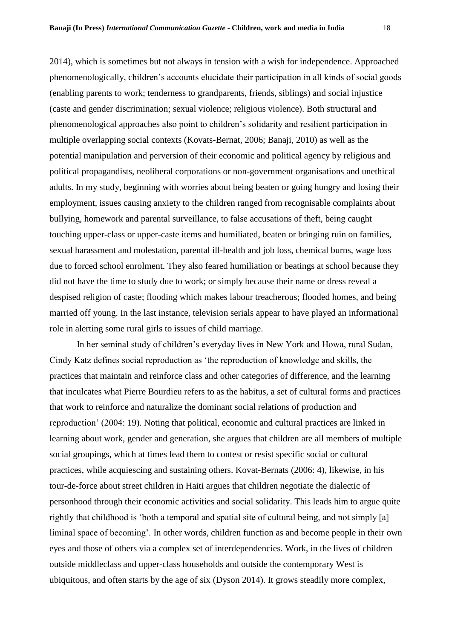2014), which is sometimes but not always in tension with a wish for independence. Approached phenomenologically, children's accounts elucidate their participation in all kinds of social goods (enabling parents to work; tenderness to grandparents, friends, siblings) and social injustice (caste and gender discrimination; sexual violence; religious violence). Both structural and phenomenological approaches also point to children's solidarity and resilient participation in multiple overlapping social contexts (Kovats-Bernat, 2006; Banaji, 2010) as well as the potential manipulation and perversion of their economic and political agency by religious and political propagandists, neoliberal corporations or non-government organisations and unethical adults. In my study, beginning with worries about being beaten or going hungry and losing their employment, issues causing anxiety to the children ranged from recognisable complaints about bullying, homework and parental surveillance, to false accusations of theft, being caught touching upper-class or upper-caste items and humiliated, beaten or bringing ruin on families, sexual harassment and molestation, parental ill-health and job loss, chemical burns, wage loss due to forced school enrolment. They also feared humiliation or beatings at school because they did not have the time to study due to work; or simply because their name or dress reveal a despised religion of caste; flooding which makes labour treacherous; flooded homes, and being married off young. In the last instance, television serials appear to have played an informational role in alerting some rural girls to issues of child marriage.

In her seminal study of children's everyday lives in New York and Howa, rural Sudan, Cindy Katz defines social reproduction as 'the reproduction of knowledge and skills, the practices that maintain and reinforce class and other categories of difference, and the learning that inculcates what Pierre Bourdieu refers to as the habitus, a set of cultural forms and practices that work to reinforce and naturalize the dominant social relations of production and reproduction' (2004: 19). Noting that political, economic and cultural practices are linked in learning about work, gender and generation, she argues that children are all members of multiple social groupings, which at times lead them to contest or resist specific social or cultural practices, while acquiescing and sustaining others. Kovat-Bernats (2006: 4), likewise, in his tour-de-force about street children in Haiti argues that children negotiate the dialectic of personhood through their economic activities and social solidarity. This leads him to argue quite rightly that childhood is 'both a temporal and spatial site of cultural being, and not simply [a] liminal space of becoming'. In other words, children function as and become people in their own eyes and those of others via a complex set of interdependencies. Work, in the lives of children outside middleclass and upper-class households and outside the contemporary West is ubiquitous, and often starts by the age of six (Dyson 2014). It grows steadily more complex,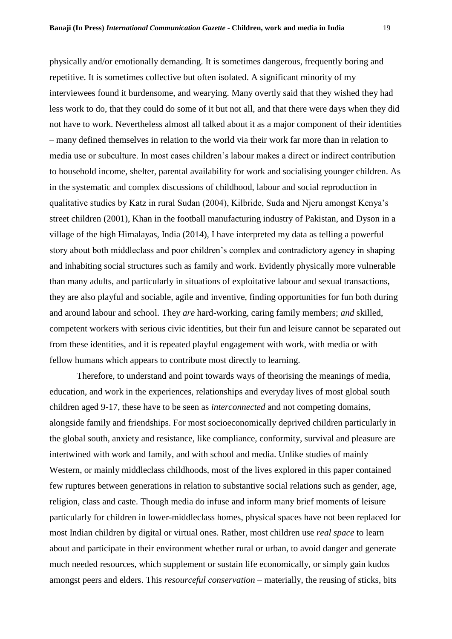physically and/or emotionally demanding. It is sometimes dangerous, frequently boring and repetitive. It is sometimes collective but often isolated. A significant minority of my interviewees found it burdensome, and wearying. Many overtly said that they wished they had less work to do, that they could do some of it but not all, and that there were days when they did not have to work. Nevertheless almost all talked about it as a major component of their identities – many defined themselves in relation to the world via their work far more than in relation to media use or subculture. In most cases children's labour makes a direct or indirect contribution to household income, shelter, parental availability for work and socialising younger children. As in the systematic and complex discussions of childhood, labour and social reproduction in qualitative studies by Katz in rural Sudan (2004), Kilbride, Suda and Njeru amongst Kenya's street children (2001), Khan in the football manufacturing industry of Pakistan, and Dyson in a village of the high Himalayas, India (2014), I have interpreted my data as telling a powerful story about both middleclass and poor children's complex and contradictory agency in shaping and inhabiting social structures such as family and work. Evidently physically more vulnerable than many adults, and particularly in situations of exploitative labour and sexual transactions, they are also playful and sociable, agile and inventive, finding opportunities for fun both during and around labour and school. They *are* hard-working, caring family members; *and* skilled, competent workers with serious civic identities, but their fun and leisure cannot be separated out from these identities, and it is repeated playful engagement with work, with media or with fellow humans which appears to contribute most directly to learning.

Therefore, to understand and point towards ways of theorising the meanings of media, education, and work in the experiences, relationships and everyday lives of most global south children aged 9-17, these have to be seen as *interconnected* and not competing domains, alongside family and friendships. For most socioeconomically deprived children particularly in the global south, anxiety and resistance, like compliance, conformity, survival and pleasure are intertwined with work and family, and with school and media. Unlike studies of mainly Western, or mainly middleclass childhoods, most of the lives explored in this paper contained few ruptures between generations in relation to substantive social relations such as gender, age, religion, class and caste. Though media do infuse and inform many brief moments of leisure particularly for children in lower-middleclass homes, physical spaces have not been replaced for most Indian children by digital or virtual ones. Rather, most children use *real space* to learn about and participate in their environment whether rural or urban, to avoid danger and generate much needed resources, which supplement or sustain life economically, or simply gain kudos amongst peers and elders. This *resourceful conservation* – materially, the reusing of sticks, bits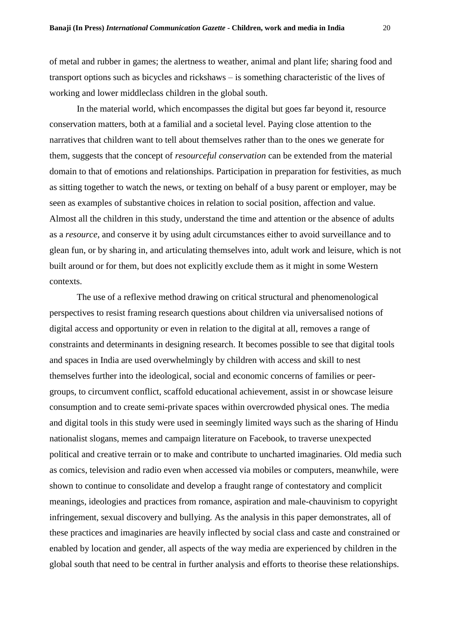of metal and rubber in games; the alertness to weather, animal and plant life; sharing food and transport options such as bicycles and rickshaws – is something characteristic of the lives of working and lower middleclass children in the global south.

In the material world, which encompasses the digital but goes far beyond it, resource conservation matters, both at a familial and a societal level. Paying close attention to the narratives that children want to tell about themselves rather than to the ones we generate for them, suggests that the concept of *resourceful conservation* can be extended from the material domain to that of emotions and relationships. Participation in preparation for festivities, as much as sitting together to watch the news, or texting on behalf of a busy parent or employer, may be seen as examples of substantive choices in relation to social position, affection and value. Almost all the children in this study, understand the time and attention or the absence of adults as a *resource*, and conserve it by using adult circumstances either to avoid surveillance and to glean fun, or by sharing in, and articulating themselves into, adult work and leisure, which is not built around or for them, but does not explicitly exclude them as it might in some Western contexts.

The use of a reflexive method drawing on critical structural and phenomenological perspectives to resist framing research questions about children via universalised notions of digital access and opportunity or even in relation to the digital at all, removes a range of constraints and determinants in designing research. It becomes possible to see that digital tools and spaces in India are used overwhelmingly by children with access and skill to nest themselves further into the ideological, social and economic concerns of families or peergroups, to circumvent conflict, scaffold educational achievement, assist in or showcase leisure consumption and to create semi-private spaces within overcrowded physical ones. The media and digital tools in this study were used in seemingly limited ways such as the sharing of Hindu nationalist slogans, memes and campaign literature on Facebook, to traverse unexpected political and creative terrain or to make and contribute to uncharted imaginaries. Old media such as comics, television and radio even when accessed via mobiles or computers, meanwhile, were shown to continue to consolidate and develop a fraught range of contestatory and complicit meanings, ideologies and practices from romance, aspiration and male-chauvinism to copyright infringement, sexual discovery and bullying. As the analysis in this paper demonstrates, all of these practices and imaginaries are heavily inflected by social class and caste and constrained or enabled by location and gender, all aspects of the way media are experienced by children in the global south that need to be central in further analysis and efforts to theorise these relationships.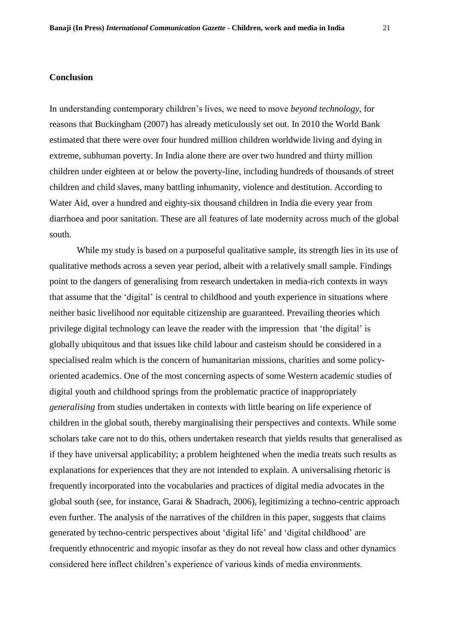#### **Conclusion**

In understanding contemporary children's lives, we need to move *beyond technology*, for reasons that Buckingham (2007) has already meticulously set out. In 2010 the World Bank estimated that there were over four hundred million children worldwide living and dying in extreme, subhuman poverty. In India alone there are over two hundred and thirty million children under eighteen at or below the poverty-line, including hundreds of thousands of street children and child slaves, many battling inhumanity, violence and destitution. According to Water Aid, over a hundred and eighty-six thousand children in India die every year from diarrhoea and poor sanitation. These are all features of late modernity across much of the global south.

While my study is based on a purposeful qualitative sample, its strength lies in its use of qualitative methods across a seven year period, albeit with a relatively small sample. Findings point to the dangers of generalising from research undertaken in media-rich contexts in ways that assume that the 'digital' is central to childhood and youth experience in situations where neither basic livelihood nor equitable citizenship are guaranteed. Prevailing theories which privilege digital technology can leave the reader with the impression that 'the digital' is globally ubiquitous and that issues like child labour and casteism should be considered in a specialised realm which is the concern of humanitarian missions, charities and some policyoriented academics. One of the most concerning aspects of some Western academic studies of digital youth and childhood springs from the problematic practice of inappropriately *generalising* from studies undertaken in contexts with little bearing on life experience of children in the global south, thereby marginalising their perspectives and contexts. While some scholars take care not to do this, others undertaken research that yields results that generalised as if they have universal applicability; a problem heightened when the media treats such results as explanations for experiences that they are not intended to explain. A universalising rhetoric is frequently incorporated into the vocabularies and practices of digital media advocates in the global south (see, for instance, Garai & Shadrach, 2006), legitimizing a techno-centric approach even further. The analysis of the narratives of the children in this paper, suggests that claims generated by techno-centric perspectives about 'digital life' and 'digital childhood' are frequently ethnocentric and myopic insofar as they do not reveal how class and other dynamics considered here inflect children's experience of various kinds of media environments.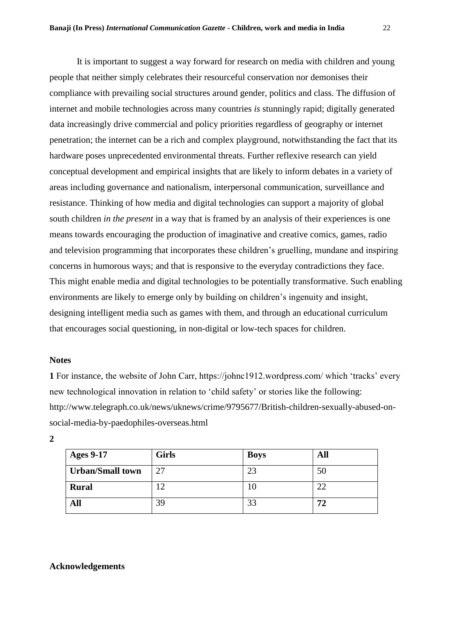It is important to suggest a way forward for research on media with children and young people that neither simply celebrates their resourceful conservation nor demonises their compliance with prevailing social structures around gender, politics and class. The diffusion of internet and mobile technologies across many countries *is* stunningly rapid; digitally generated data increasingly drive commercial and policy priorities regardless of geography or internet penetration; the internet can be a rich and complex playground, notwithstanding the fact that its hardware poses unprecedented environmental threats. Further reflexive research can yield conceptual development and empirical insights that are likely to inform debates in a variety of areas including governance and nationalism, interpersonal communication, surveillance and resistance. Thinking of how media and digital technologies can support a majority of global south children *in the present* in a way that is framed by an analysis of their experiences is one means towards encouraging the production of imaginative and creative comics, games, radio and television programming that incorporates these children's gruelling, mundane and inspiring concerns in humorous ways; and that is responsive to the everyday contradictions they face. This might enable media and digital technologies to be potentially transformative. Such enabling environments are likely to emerge only by building on children's ingenuity and insight, designing intelligent media such as games with them, and through an educational curriculum that encourages social questioning, in non-digital or low-tech spaces for children.

#### **Notes**

**1** For instance, the website of John Carr, https://johnc1912.wordpress.com/ which 'tracks' every new technological innovation in relation to 'child safety' or stories like the following: http://www.telegraph.co.uk/news/uknews/crime/9795677/British-children-sexually-abused-onsocial-media-by-paedophiles-overseas.html

**2**

| <b>Ages 9-17</b>        | <b>Girls</b> | <b>Boys</b> | All |
|-------------------------|--------------|-------------|-----|
| <b>Urban/Small town</b> | 27           | 23          | 50  |
| <b>Rural</b>            | 12           | 10          |     |
| All                     | 39           | 33          | 72  |

## **Acknowledgements**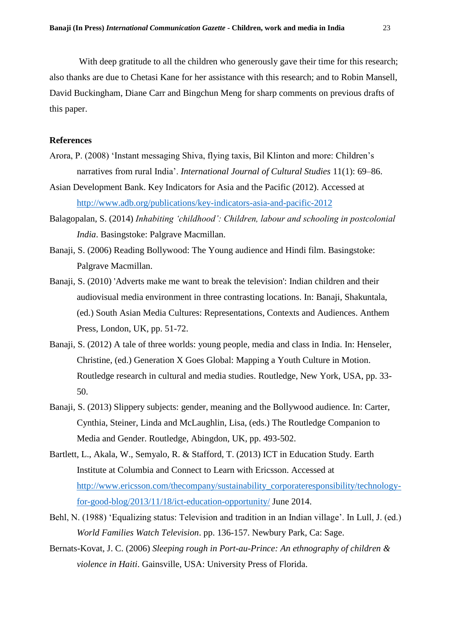With deep gratitude to all the children who generously gave their time for this research; also thanks are due to Chetasi Kane for her assistance with this research; and to Robin Mansell, David Buckingham, Diane Carr and Bingchun Meng for sharp comments on previous drafts of this paper.

#### **References**

- Arora, P. (2008) 'Instant messaging Shiva, flying taxis, Bil Klinton and more: Children's narratives from rural India'. *International Journal of Cultural Studies* 11(1): 69–86.
- Asian Development Bank. Key Indicators for Asia and the Pacific (2012). Accessed at <http://www.adb.org/publications/key-indicators-asia-and-pacific-2012>
- Balagopalan, S. (2014) *Inhabiting 'childhood': Children, labour and schooling in postcolonial India*. Basingstoke: Palgrave Macmillan.
- Banaji, S. (2006) Reading Bollywood: The Young audience and Hindi film. Basingstoke: Palgrave Macmillan.
- Banaji, S. (2010) 'Adverts make me want to break the television': Indian children and their audiovisual media environment in three contrasting locations. In: Banaji, Shakuntala, (ed.) South Asian Media Cultures: Representations, Contexts and Audiences. Anthem Press, London, UK, pp. 51-72.
- Banaji, S. (2012) A tale of three worlds: young people, media and class in India. In: Henseler, Christine, (ed.) Generation X Goes Global: Mapping a Youth Culture in Motion. Routledge research in cultural and media studies. Routledge, New York, USA, pp. 33- 50.
- Banaji, S. (2013) Slippery subjects: gender, meaning and the Bollywood audience. In: Carter, Cynthia, Steiner, Linda and McLaughlin, Lisa, (eds.) The Routledge Companion to Media and Gender. Routledge, Abingdon, UK, pp. 493-502.
- Bartlett, L., Akala, W., Semyalo, R. & Stafford, T. (2013) ICT in Education Study. Earth Institute at Columbia and Connect to Learn with Ericsson. Accessed at [http://www.ericsson.com/thecompany/sustainability\\_corporateresponsibility/technology](http://www.ericsson.com/thecompany/sustainability_corporateresponsibility/technology-for-good-blog/2013/11/18/ict-education-opportunity/)[for-good-blog/2013/11/18/ict-education-opportunity/](http://www.ericsson.com/thecompany/sustainability_corporateresponsibility/technology-for-good-blog/2013/11/18/ict-education-opportunity/) June 2014.
- Behl, N. (1988) 'Equalizing status: Television and tradition in an Indian village'. In Lull, J. (ed.) *World Families Watch Television*. pp. 136-157. Newbury Park, Ca: Sage.
- Bernats-Kovat, J. C. (2006) *Sleeping rough in Port-au-Prince: An ethnography of children & violence in Haiti*. Gainsville, USA: University Press of Florida.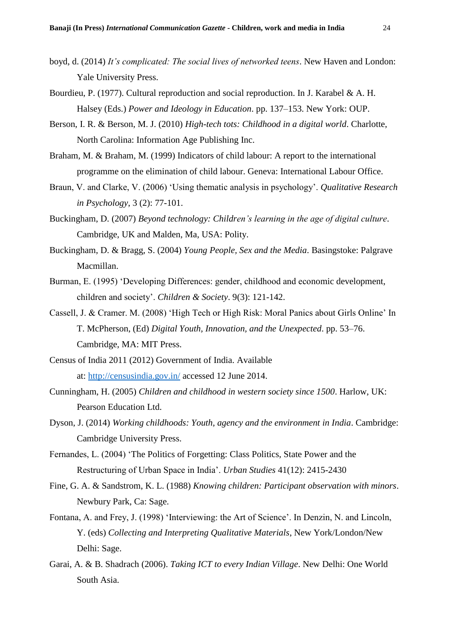- boyd, d. (2014) *It's complicated: The social lives of networked teens*. New Haven and London: Yale University Press.
- Bourdieu, P. (1977). Cultural reproduction and social reproduction. In J. Karabel & A. H. Halsey (Eds.) *Power and Ideology in Education*. pp. 137–153. New York: OUP.
- Berson, I. R. & Berson, M. J. (2010) *High-tech tots: Childhood in a digital world*. Charlotte, North Carolina: Information Age Publishing Inc.
- Braham, M. & Braham, M. (1999) Indicators of child labour: A report to the international programme on the elimination of child labour. Geneva: International Labour Office.
- Braun, V. and Clarke, V. (2006) 'Using thematic analysis in psychology'. *Qualitative Research in Psychology*, 3 (2): 77-101.
- Buckingham, D. (2007) *Beyond technology: Children's learning in the age of digital culture*. Cambridge, UK and Malden, Ma, USA: Polity.
- Buckingham, D. & Bragg, S. (2004) *Young People, Sex and the Media*. Basingstoke: Palgrave Macmillan.
- Burman, E. (1995) 'Developing Differences: gender, childhood and economic development, children and society'. *Children & Society*. 9(3): 121-142.
- Cassell, J. & Cramer. M. (2008) 'High Tech or High Risk: Moral Panics about Girls Online' In T. McPherson, (Ed) *Digital Youth, Innovation, and the Unexpected*. pp. 53–76. Cambridge, MA: MIT Press.
- Census of India 2011 (2012) Government of India. Available at: [http://censusindia.gov.in/](https://exchange.lse.ac.uk/owa/redir.aspx?C=VjLpZ0dAfEyM43bEttXFhQIt6Ru5XdEIxnQjvze-TbOdoM9DqJ3DEAnp0LvHTTgh578ZAQVeNTM.&URL=http%3a%2f%2fcensusindia.gov.in%2f) accessed 12 June 2014.
- Cunningham, H. (2005) *Children and childhood in western society since 1500*. Harlow, UK: Pearson Education Ltd.
- Dyson, J. (2014) *Working childhoods: Youth, agency and the environment in India*. Cambridge: Cambridge University Press.
- Fernandes, L. (2004) 'The Politics of Forgetting: Class Politics, State Power and the Restructuring of Urban Space in India'. *Urban Studies* 41(12): 2415-2430
- Fine, G. A. & Sandstrom, K. L. (1988) *Knowing children: Participant observation with minors*. Newbury Park, Ca: Sage.
- Fontana, A. and Frey, J. (1998) 'Interviewing: the Art of Science'. In Denzin, N. and Lincoln, Y. (eds) *Collecting and Interpreting Qualitative Materials*, New York/London/New Delhi: Sage.
- Garai, A. & B. Shadrach (2006). *Taking ICT to every Indian Village*. New Delhi: One World South Asia.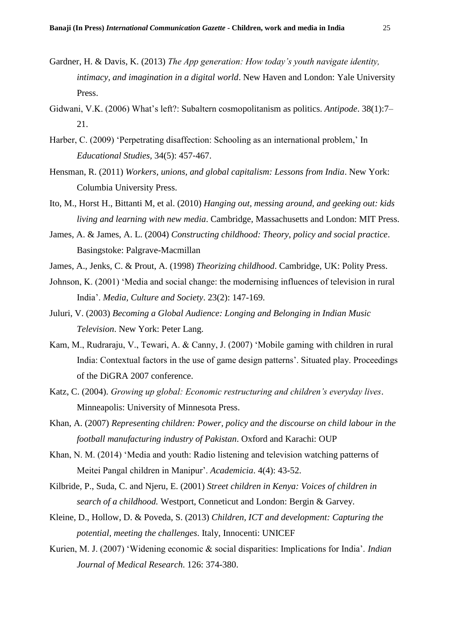- Gardner, H. & Davis, K. (2013) *The App generation: How today's youth navigate identity, intimacy, and imagination in a digital world*. New Haven and London: Yale University Press.
- Gidwani, V.K. (2006) What's left?: Subaltern cosmopolitanism as politics. *Antipode*. 38(1):7– 21.
- Harber, C. (2009) 'Perpetrating disaffection: Schooling as an international problem,' In *Educational Studies,* 34(5): 457‐467.
- Hensman, R. (2011) *Workers, unions, and global capitalism: Lessons from India*. New York: Columbia University Press.
- Ito, M., Horst H., Bittanti M, et al. (2010) *Hanging out, messing around, and geeking out: kids living and learning with new media*. Cambridge, Massachusetts and London: MIT Press.
- James, A. & James, A. L. (2004) *Constructing childhood: Theory, policy and social practice*. Basingstoke: Palgrave-Macmillan
- James, A., Jenks, C. & Prout, A. (1998) *Theorizing childhood*. Cambridge, UK: Polity Press.
- Johnson, K. (2001) 'Media and social change: the modernising influences of television in rural India'. *Media, Culture and Society*. 23(2): 147-169.
- Juluri, V. (2003) *Becoming a Global Audience: Longing and Belonging in Indian Music Television*. New York: Peter Lang.
- Kam, M., Rudraraju, V., Tewari, A. & Canny, J. (2007) 'Mobile gaming with children in rural India: Contextual factors in the use of game design patterns'. Situated play. Proceedings of the DiGRA 2007 conference.
- Katz, C. (2004). *Growing up global: Economic restructuring and children's everyday lives*. Minneapolis: University of Minnesota Press.
- Khan, A. (2007) *Representing children: Power, policy and the discourse on child labour in the football manufacturing industry of Pakistan*. Oxford and Karachi: OUP
- Khan, N. M. (2014) 'Media and youth: Radio listening and television watching patterns of Meitei Pangal children in Manipur'. *Academicia*. 4(4): 43-52.
- Kilbride, P., Suda, C. and Njeru, E. (2001) *Street children in Kenya: Voices of children in search of a childhood.* Westport, Conneticut and London: Bergin & Garvey.
- Kleine, D., Hollow, D. & Poveda, S. (2013) *Children, ICT and development: Capturing the potential, meeting the challenges*. Italy, Innocenti: UNICEF
- Kurien, M. J. (2007) 'Widening economic & social disparities: Implications for India'. *Indian Journal of Medical Research*. 126: 374-380.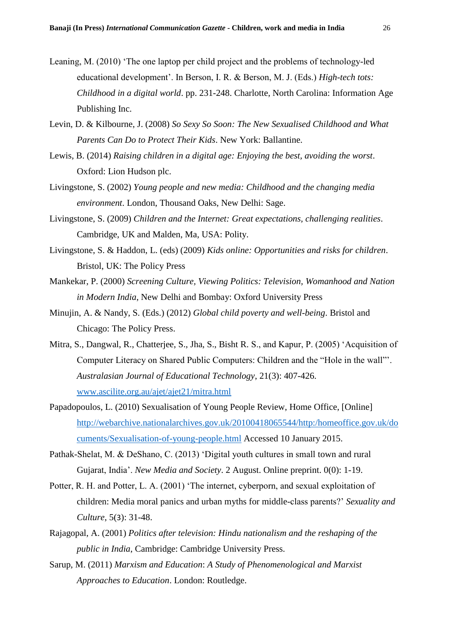- Leaning, M. (2010) 'The one laptop per child project and the problems of technology-led educational development'. In Berson, I. R. & Berson, M. J. (Eds.) *High-tech tots: Childhood in a digital world*. pp. 231-248. Charlotte, North Carolina: Information Age Publishing Inc.
- Levin, D. & Kilbourne, J. (2008) *So Sexy So Soon: The New Sexualised Childhood and What Parents Can Do to Protect Their Kids*. New York: Ballantine.
- Lewis, B. (2014) *Raising children in a digital age: Enjoying the best, avoiding the worst*. Oxford: Lion Hudson plc.
- Livingstone, S. (2002) *Young people and new media: Childhood and the changing media environment*. London, Thousand Oaks, New Delhi: Sage.
- Livingstone, S. (2009) *Children and the Internet: Great expectations, challenging realities*. Cambridge, UK and Malden, Ma, USA: Polity.
- Livingstone, S. & Haddon, L. (eds) (2009) *Kids online: Opportunities and risks for children*. Bristol, UK: The Policy Press
- Mankekar, P. (2000) *Screening Culture, Viewing Politics: Television, Womanhood and Nation in Modern India*, New Delhi and Bombay: Oxford University Press
- Minujin, A. & Nandy, S. (Eds.) (2012) *Global child poverty and well-being*. Bristol and Chicago: The Policy Press.
- Mitra, S., Dangwal, R., Chatterjee, S., Jha, S., Bisht R. S., and Kapur, P. (2005) 'Acquisition of Computer Literacy on Shared Public Computers: Children and the "Hole in the wall"'. *Australasian Journal of Educational Technology*, 21(3): 407-426. [www.ascilite.org.au/ajet/ajet21/mitra.html](http://www.ascilite.org.au/ajet/ajet21/mitra.html)
- Papadopoulos, L. (2010) Sexualisation of Young People Review, Home Office, [Online] [http://webarchive.nationalarchives.gov.uk/20100418065544/http:/homeoffice.gov.uk/do](http://webarchive.nationalarchives.gov.uk/20100418065544/http:/homeoffice.gov.uk/documents/Sexualisation-of-young-people.html) [cuments/Sexualisation-of-young-people.html](http://webarchive.nationalarchives.gov.uk/20100418065544/http:/homeoffice.gov.uk/documents/Sexualisation-of-young-people.html) Accessed 10 January 2015.
- Pathak-Shelat, M. & DeShano, C. (2013) 'Digital youth cultures in small town and rural Gujarat, India'. *New Media and Society*. 2 August. Online preprint. 0(0): 1-19.
- Potter, R. H. and Potter, L. A. (2001) 'The internet, cyberporn, and sexual exploitation of children: Media moral panics and urban myths for middle-class parents?' *Sexuality and Culture*, 5(3): 31-48.
- Rajagopal, A. (2001) *Politics after television: Hindu nationalism and the reshaping of the public in India*, Cambridge: Cambridge University Press.
- Sarup, M. (2011) *Marxism and Education*: *A Study of Phenomenological and Marxist Approaches to Education*. London: Routledge.